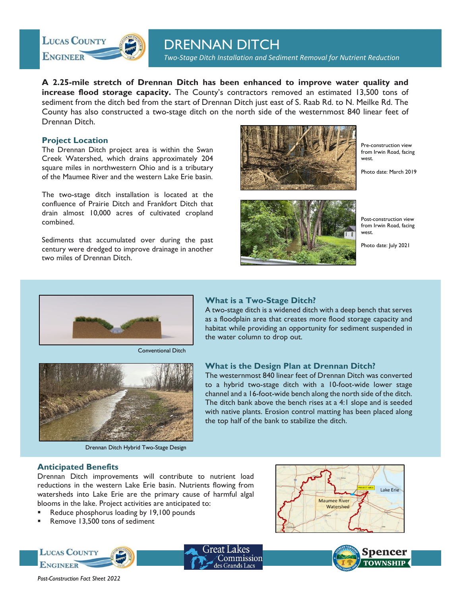

# DRENNAN DITCH

*Two‐Stage Ditch Installation and Sediment Removal for Nutrient Reduction*

**A 2.25-mile stretch of Drennan Ditch has been enhanced to improve water quality and increase flood storage capacity.** The County's contractors removed an estimated 13,500 tons of sediment from the ditch bed from the start of Drennan Ditch just east of S. Raab Rd. to N. Meilke Rd. The County has also constructed a two-stage ditch on the north side of the westernmost 840 linear feet of Drennan Ditch.

#### **Project Location**

The Drennan Ditch project area is within the Swan Creek Watershed, which drains approximately 204 square miles in northwestern Ohio and is a tributary of the Maumee River and the western Lake Erie basin.

The two-stage ditch installation is located at the confluence of Prairie Ditch and Frankfort Ditch that drain almost 10,000 acres of cultivated cropland combined.

Sediments that accumulated over during the past century were dredged to improve drainage in another two miles of Drennan Ditch.



Pre-construction view from Irwin Road, facing west.

Photo date: March 2019



Post-construction view from Irwin Road, facing west.

Photo date: July 2021



Conventional Ditch



Drennan Ditch Hybrid Two-Stage Design

# **What is a Two-Stage Ditch?**

A two-stage ditch is a widened ditch with a deep bench that serves as a floodplain area that creates more flood storage capacity and habitat while providing an opportunity for sediment suspended in the water column to drop out.

#### **What is the Design Plan at Drennan Ditch?**

The westernmost 840 linear feet of Drennan Ditch was converted to a hybrid two-stage ditch with a 10-foot-wide lower stage channel and a 16-foot-wide bench along the north side of the ditch. The ditch bank above the bench rises at a 4:1 slope and is seeded with native plants. Erosion control matting has been placed along the top half of the bank to stabilize the ditch.

#### **Anticipated Benefits**

Drennan Ditch improvements will contribute to nutrient load reductions in the western Lake Erie basin. Nutrients flowing from watersheds into Lake Erie are the primary cause of harmful algal blooms in the lake. Project activities are anticipated to:

- Reduce phosphorus loading by 19,100 pounds
- Remove 13,500 tons of sediment







 *Post-Construction Fact Sheet 2022*